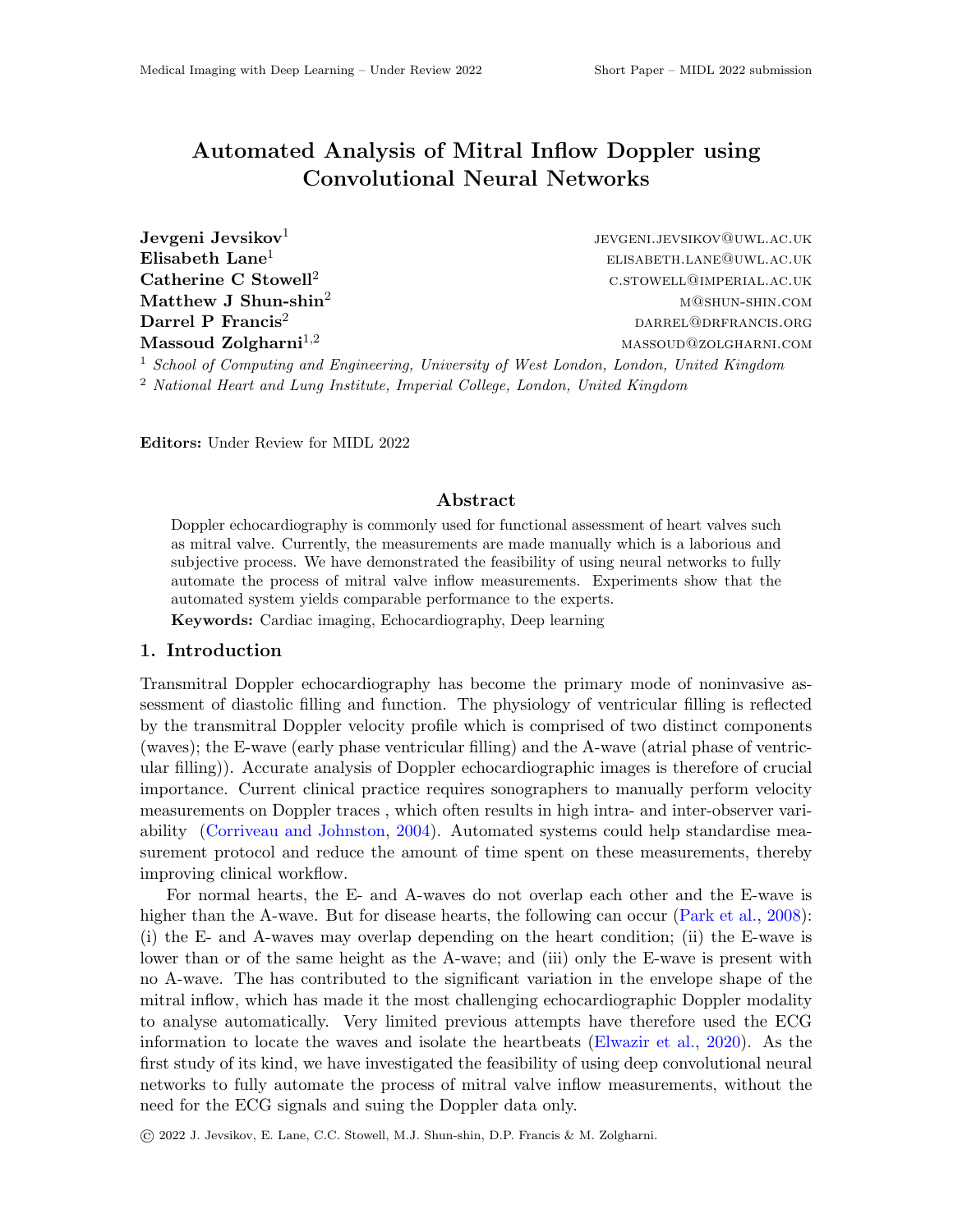## Automated Analysis of Mitral Inflow Doppler using Convolutional Neural Networks

Jevgeni Jevsikov<sup>1</sup>

jevgeni.jevsikov@uwl.ac.uk  $\mathbf{Elisabeth}\ \mathbf{Lane}^1$  elisabeth  $\mathbf{Lane}^1$  $\mathbf{Catherine\ C\ Stowelll^2} \hspace{2cm} \begin{array}{cc} \text{C.STOWELL@IMPERIAL.}\ \text{AC.UK} \end{array}$ Matthew J Shun-shin<sup>2</sup> matthew J Shun-shin<sup>2</sup> matthew shin.com  $\textbf{Darrel} \textbf{ }$  P Francis<sup>2</sup> data by  $\textbf{Darrel} \textbf{ }$   $\textbf{Darrel} \textbf{ }$   $\textbf{Darrel} \textbf{ }$   $\textbf{Darrel} \textbf{ }$   $\textbf{Darrel} \textbf{ }$   $\textbf{Darrel} \textbf{ }$   $\textbf{Darrel} \textbf{ }$   $\textbf{Darrel} \textbf{ }$   $\textbf{Darrel} \textbf{ }$   $\textbf{Darrel} \textbf{ }$   $\textbf{Darrel} \textbf{ }$   $\textbf{Darrel$  $M$ assoud Zolgharni<sup>1,2</sup> massoud Zolgharni<sup>1,2</sup> massoud Zolgharni<sup>1,2</sup> massoud  $M$ 

 $1$  School of Computing and Engineering, University of West London, London, United Kingdom <sup>2</sup> National Heart and Lung Institute, Imperial College, London, United Kingdom

Editors: Under Review for MIDL 2022

## Abstract

Doppler echocardiography is commonly used for functional assessment of heart valves such as mitral valve. Currently, the measurements are made manually which is a laborious and subjective process. We have demonstrated the feasibility of using neural networks to fully automate the process of mitral valve inflow measurements. Experiments show that the automated system yields comparable performance to the experts.

Keywords: Cardiac imaging, Echocardiography, Deep learning

## 1. Introduction

Transmitral Doppler echocardiography has become the primary mode of noninvasive assessment of diastolic filling and function. The physiology of ventricular filling is reflected by the transmitral Doppler velocity profile which is comprised of two distinct components (waves); the E-wave (early phase ventricular filling) and the A-wave (atrial phase of ventricular filling)). Accurate analysis of Doppler echocardiographic images is therefore of crucial importance. Current clinical practice requires sonographers to manually perform velocity measurements on Doppler traces , which often results in high intra- and inter-observer variability [\(Corriveau and Johnston,](#page-2-0) [2004\)](#page-2-0). Automated systems could help standardise measurement protocol and reduce the amount of time spent on these measurements, thereby improving clinical workflow.

For normal hearts, the E- and A-waves do not overlap each other and the E-wave is higher than the A-wave. But for disease hearts, the following can occur [\(Park et al.,](#page-2-1) [2008\)](#page-2-1): (i) the E- and A-waves may overlap depending on the heart condition; (ii) the E-wave is lower than or of the same height as the A-wave; and (iii) only the E-wave is present with no A-wave. The has contributed to the significant variation in the envelope shape of the mitral inflow, which has made it the most challenging echocardiographic Doppler modality to analyse automatically. Very limited previous attempts have therefore used the ECG information to locate the waves and isolate the heartbeats [\(Elwazir et al.,](#page-2-2) [2020\)](#page-2-2). As the first study of its kind, we have investigated the feasibility of using deep convolutional neural networks to fully automate the process of mitral valve inflow measurements, without the need for the ECG signals and suing the Doppler data only.

© 2022 J. Jevsikov, E. Lane, C.C. Stowell, M.J. Shun-shin, D.P. Francis & M. Zolgharni.